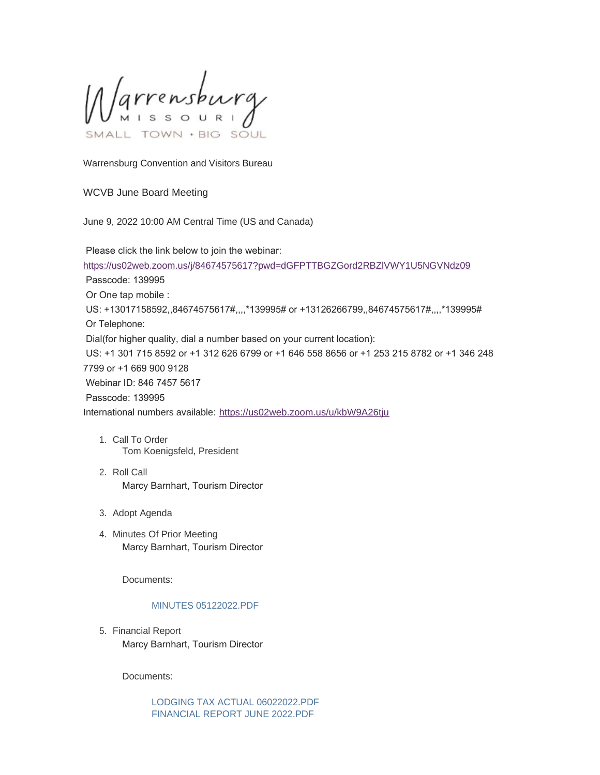Varrensburg SOUL

Warrensburg Convention and Visitors Bureau

## WCVB June Board Meeting

June 9, 2022 10:00 AM Central Time (US and Canada)

Please click the link below to join the webinar:

<https://us02web.zoom.us/j/84674575617?pwd=dGFPTTBGZGord2RBZlVWY1U5NGVNdz09>

Passcode: 139995

Or One tap mobile :

 US: +13017158592,,84674575617#,,,,\*139995# or +13126266799,,84674575617#,,,,\*139995# Or Telephone:

Dial(for higher quality, dial a number based on your current location):

 US: +1 301 715 8592 or +1 312 626 6799 or +1 646 558 8656 or +1 253 215 8782 or +1 346 248 7799 or +1 669 900 9128

Webinar ID: 846 7457 5617

Passcode: 139995

International numbers available: <https://us02web.zoom.us/u/kbW9A26tju>

- 1. Call To Order Tom Koenigsfeld, President
- 2. Roll Call Marcy Barnhart, Tourism Director
- 3. Adopt Agenda
- 4. Minutes Of Prior Meeting Marcy Barnhart, Tourism Director

Documents:

### [MINUTES 05122022.PDF](https://www.warrensburg-mo.com/AgendaCenter/ViewFile/Item/6731?fileID=11320)

5. Financial Report Marcy Barnhart, Tourism Director

Documents:

[LODGING TAX ACTUAL 06022022.PDF](https://www.warrensburg-mo.com/AgendaCenter/ViewFile/Item/6732?fileID=11321) [FINANCIAL REPORT JUNE 2022.PDF](https://www.warrensburg-mo.com/AgendaCenter/ViewFile/Item/6732?fileID=11322)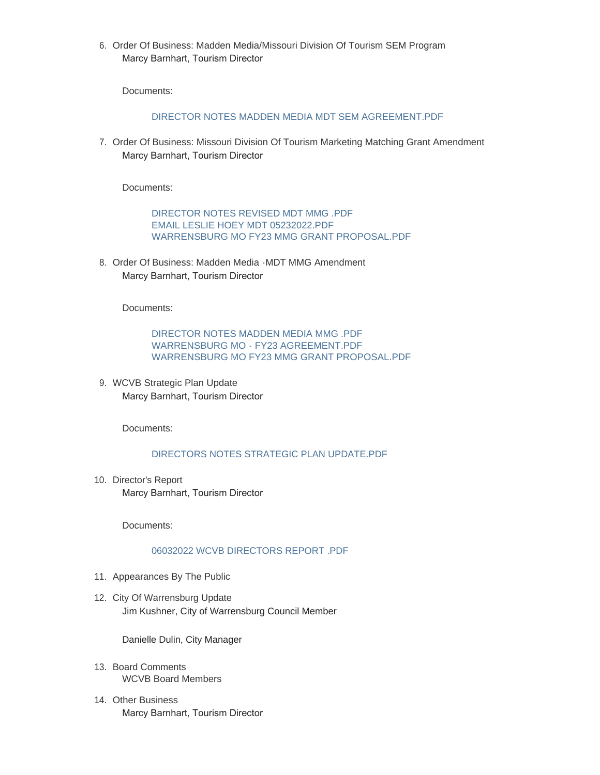6. Order Of Business: Madden Media/Missouri Division Of Tourism SEM Program Marcy Barnhart, Tourism Director

Documents:

## [DIRECTOR NOTES MADDEN MEDIA MDT SEM AGREEMENT.PDF](https://www.warrensburg-mo.com/AgendaCenter/ViewFile/Item/6733?fileID=11323)

7. Order Of Business: Missouri Division Of Tourism Marketing Matching Grant Amendment Marcy Barnhart, Tourism Director

Documents:

[DIRECTOR NOTES REVISED MDT MMG .PDF](https://www.warrensburg-mo.com/AgendaCenter/ViewFile/Item/6734?fileID=11324) [EMAIL LESLIE HOEY MDT 05232022.PDF](https://www.warrensburg-mo.com/AgendaCenter/ViewFile/Item/6734?fileID=11325) [WARRENSBURG MO FY23 MMG GRANT PROPOSAL.PDF](https://www.warrensburg-mo.com/AgendaCenter/ViewFile/Item/6734?fileID=11326)

8. Order Of Business: Madden Media - MDT MMG Amendment Marcy Barnhart, Tourism Director

Documents:

[DIRECTOR NOTES MADDEN MEDIA MMG .PDF](https://www.warrensburg-mo.com/AgendaCenter/ViewFile/Item/6735?fileID=11327) [WARRENSBURG MO - FY23 AGREEMENT.PDF](https://www.warrensburg-mo.com/AgendaCenter/ViewFile/Item/6735?fileID=11328) [WARRENSBURG MO FY23 MMG GRANT PROPOSAL.PDF](https://www.warrensburg-mo.com/AgendaCenter/ViewFile/Item/6735?fileID=11329)

WCVB Strategic Plan Update 9. Marcy Barnhart, Tourism Director

Documents:

## [DIRECTORS NOTES STRATEGIC PLAN UPDATE.PDF](https://www.warrensburg-mo.com/AgendaCenter/ViewFile/Item/6736?fileID=11330)

10. Director's Report Marcy Barnhart, Tourism Director

Documents:

### [06032022 WCVB DIRECTORS REPORT .PDF](https://www.warrensburg-mo.com/AgendaCenter/ViewFile/Item/6737?fileID=11331)

- 11. Appearances By The Public
- 12. City Of Warrensburg Update Jim Kushner, City of Warrensburg Council Member

Danielle Dulin, City Manager

- 13. Board Comments WCVB Board Members
- 14. Other Business Marcy Barnhart, Tourism Director